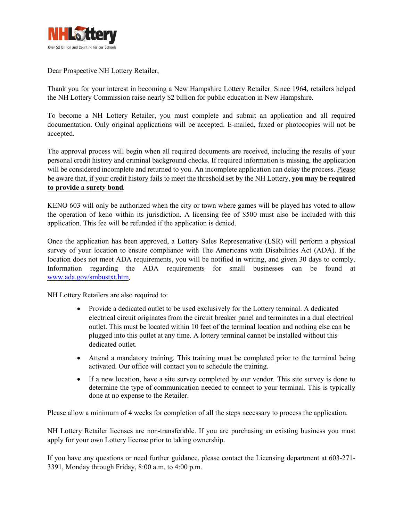

Dear Prospective NH Lottery Retailer,

Thank you for your interest in becoming a New Hampshire Lottery Retailer. Since 1964, retailers helped the NH Lottery Commission raise nearly \$2 billion for public education in New Hampshire.

To become a NH Lottery Retailer, you must complete and submit an application and all required documentation. Only original applications will be accepted. E-mailed, faxed or photocopies will not be accepted.

The approval process will begin when all required documents are received, including the results of your personal credit history and criminal background checks. If required information is missing, the application will be considered incomplete and returned to you. An incomplete application can delay the process. Please be aware that, if your credit history fails to meet the threshold set by the NH Lottery, **you may be required to provide a surety bond***.*

KENO 603 will only be authorized when the city or town where games will be played has voted to allow the operation of keno within its jurisdiction. A licensing fee of \$500 must also be included with this application. This fee will be refunded if the application is denied.

Once the application has been approved, a Lottery Sales Representative (LSR) will perform a physical survey of your location to ensure compliance with The Americans with Disabilities Act (ADA). If the location does not meet ADA requirements, you will be notified in writing, and given 30 days to comply. Information regarding the ADA requirements for small businesses can be found at [www.ada.gov/smbustxt.htm.](http://www.ada.gov/smbustxt.htm)

NH Lottery Retailers are also required to:

- Provide a dedicated outlet to be used exclusively for the Lottery terminal. A dedicated electrical circuit originates from the circuit breaker panel and terminates in a dual electrical outlet. This must be located within 10 feet of the terminal location and nothing else can be plugged into this outlet at any time. A lottery terminal cannot be installed without this dedicated outlet.
- Attend a mandatory training. This training must be completed prior to the terminal being activated. Our office will contact you to schedule the training.
- If a new location, have a site survey completed by our vendor. This site survey is done to determine the type of communication needed to connect to your terminal. This is typically done at no expense to the Retailer.

Please allow a minimum of 4 weeks for completion of all the steps necessary to process the application.

NH Lottery Retailer licenses are non-transferable. If you are purchasing an existing business you must apply for your own Lottery license prior to taking ownership.

If you have any questions or need further guidance, please contact the Licensing department at 603-271- 3391, Monday through Friday, 8:00 a.m. to 4:00 p.m.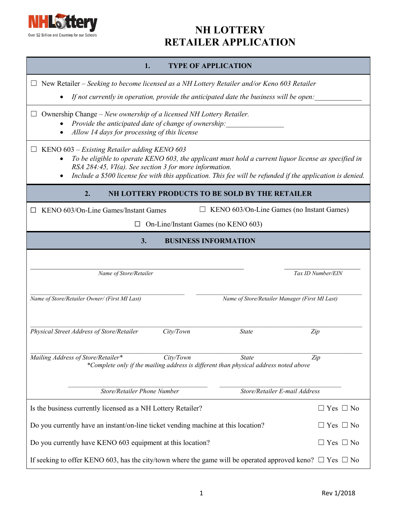

| <b>TYPE OF APPLICATION</b><br>1.                                                                                                                                                                                                                                                                                                          |  |  |  |  |
|-------------------------------------------------------------------------------------------------------------------------------------------------------------------------------------------------------------------------------------------------------------------------------------------------------------------------------------------|--|--|--|--|
| $\Box$ New Retailer – Seeking to become licensed as a NH Lottery Retailer and/or Keno 603 Retailer                                                                                                                                                                                                                                        |  |  |  |  |
| If not currently in operation, provide the anticipated date the business will be open:                                                                                                                                                                                                                                                    |  |  |  |  |
| Ownership Change – New ownership of a licensed NH Lottery Retailer.<br>$\Box$<br>Provide the anticipated date of change of ownership:<br>Allow 14 days for processing of this license                                                                                                                                                     |  |  |  |  |
| KENO 603 – Existing Retailer adding KENO 603<br>To be eligible to operate KENO 603, the applicant must hold a current liquor license as specified in<br>RSA 284:45, VI(a). See section 3 for more information.<br>Include a \$500 license fee with this application. This fee will be refunded if the application is denied.<br>$\bullet$ |  |  |  |  |
| 2.<br>NH LOTTERY PRODUCTS TO BE SOLD BY THE RETAILER                                                                                                                                                                                                                                                                                      |  |  |  |  |
| KENO 603/On-Line Games (no Instant Games)<br>KENO 603/On-Line Games/Instant Games                                                                                                                                                                                                                                                         |  |  |  |  |
| On-Line/Instant Games (no KENO 603)                                                                                                                                                                                                                                                                                                       |  |  |  |  |
| 3.<br><b>BUSINESS INFORMATION</b>                                                                                                                                                                                                                                                                                                         |  |  |  |  |
| Tax ID Number/EIN<br>Name of Store/Retailer                                                                                                                                                                                                                                                                                               |  |  |  |  |
| Name of Store/Retailer Owner/ (First MI Last)<br>Name of Store/Retailer Manager (First MI Last)                                                                                                                                                                                                                                           |  |  |  |  |
| Physical Street Address of Store/Retailer<br>City/Town<br><b>State</b><br>Zip                                                                                                                                                                                                                                                             |  |  |  |  |
| Mailing Address of Store/Retailer*<br>City/Town<br><b>State</b><br>Zip<br>*Complete only if the mailing address is different than physical address noted above                                                                                                                                                                            |  |  |  |  |
| Store/Retailer Phone Number<br>Store/Retailer E-mail Address                                                                                                                                                                                                                                                                              |  |  |  |  |
| Is the business currently licensed as a NH Lottery Retailer?<br>$\Box$ Yes $\Box$ No                                                                                                                                                                                                                                                      |  |  |  |  |
| Do you currently have an instant/on-line ticket vending machine at this location?<br>$\Box$ Yes $\Box$ No                                                                                                                                                                                                                                 |  |  |  |  |
| Do you currently have KENO 603 equipment at this location?<br>$\Box$ Yes $\Box$ No                                                                                                                                                                                                                                                        |  |  |  |  |
| If seeking to offer KENO 603, has the city/town where the game will be operated approved keno? $\Box$ Yes $\Box$ No                                                                                                                                                                                                                       |  |  |  |  |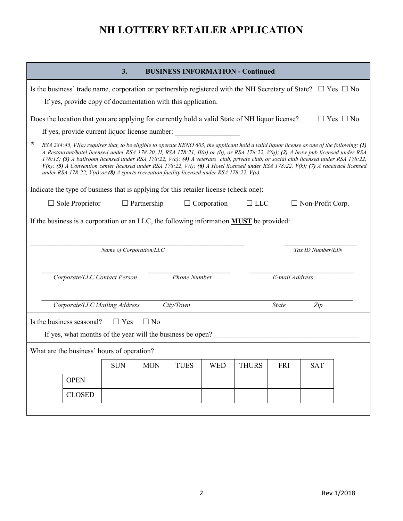| 3.<br><b>BUSINESS INFORMATION - Continued</b>                                                                                                                                                                                                                                                                                                                                                                                                                                                                                                                                                                                                                                          |  |  |  |  |  |  |  |
|----------------------------------------------------------------------------------------------------------------------------------------------------------------------------------------------------------------------------------------------------------------------------------------------------------------------------------------------------------------------------------------------------------------------------------------------------------------------------------------------------------------------------------------------------------------------------------------------------------------------------------------------------------------------------------------|--|--|--|--|--|--|--|
| Is the business' trade name, corporation or partnership registered with the NH Secretary of State? $\Box$ Yes $\Box$ No                                                                                                                                                                                                                                                                                                                                                                                                                                                                                                                                                                |  |  |  |  |  |  |  |
| If yes, provide copy of documentation with this application.                                                                                                                                                                                                                                                                                                                                                                                                                                                                                                                                                                                                                           |  |  |  |  |  |  |  |
| Does the location that you are applying for currently hold a valid State of NH liquor license?<br>$\Box$ Yes $\Box$ No                                                                                                                                                                                                                                                                                                                                                                                                                                                                                                                                                                 |  |  |  |  |  |  |  |
| If yes, provide current liquor license number:                                                                                                                                                                                                                                                                                                                                                                                                                                                                                                                                                                                                                                         |  |  |  |  |  |  |  |
| ∗<br>RSA 284:45, VI(a) requires that, to be eligible to operate KENO 603, the applicant hold a valid liquor license as one of the following: (1)<br>A Restaurant/hotel licensed under RSA 178:20, II, RSA 178:21, II(a) or (b), or RSA 178:22, V(q); (2) A brew pub licensed under RSA<br>178:13; (3) A ballroom licensed under RSA 178:22, V(c); (4) A veterans' club, private club, or social club licensed under RSA 178:22,<br>$V(h)$ ; (5) A Convention center licensed under RSA 178:22, $V(i)$ ; (6) A Hotel licensed under RSA 178:22, $V(k)$ ; (7) A racetrack licensed<br>under RSA 178:22, $V(n)$ ; or (8) A sports recreation facility licensed under RSA 178:22, $V(v)$ . |  |  |  |  |  |  |  |
| Indicate the type of business that is applying for this retailer license (check one):                                                                                                                                                                                                                                                                                                                                                                                                                                                                                                                                                                                                  |  |  |  |  |  |  |  |
| $\Box$ Sole Proprietor<br>$\Box$ Partnership<br>$\Box$ Corporation<br>$\Box$ LLC<br>$\Box$ Non-Profit Corp.                                                                                                                                                                                                                                                                                                                                                                                                                                                                                                                                                                            |  |  |  |  |  |  |  |
| If the business is a corporation or an LLC, the following information <b>MUST</b> be provided:<br>Name of Corporation/LLC<br>Tax ID Number/EIN                                                                                                                                                                                                                                                                                                                                                                                                                                                                                                                                         |  |  |  |  |  |  |  |
| <b>Phone Number</b><br>Corporate/LLC Contact Person<br>E-mail Address                                                                                                                                                                                                                                                                                                                                                                                                                                                                                                                                                                                                                  |  |  |  |  |  |  |  |
| Corporate/LLC Mailing Address<br>City/Town<br><b>State</b><br>Zip                                                                                                                                                                                                                                                                                                                                                                                                                                                                                                                                                                                                                      |  |  |  |  |  |  |  |
| Is the business seasonal?<br>$\Box$ Yes<br>$\Box$ No<br>If yes, what months of the year will the business be open?                                                                                                                                                                                                                                                                                                                                                                                                                                                                                                                                                                     |  |  |  |  |  |  |  |
| What are the business' hours of operation?                                                                                                                                                                                                                                                                                                                                                                                                                                                                                                                                                                                                                                             |  |  |  |  |  |  |  |
| <b>SUN</b><br><b>MON</b><br><b>TUES</b><br><b>WED</b><br><b>THURS</b><br><b>FRI</b><br><b>SAT</b>                                                                                                                                                                                                                                                                                                                                                                                                                                                                                                                                                                                      |  |  |  |  |  |  |  |
| <b>OPEN</b>                                                                                                                                                                                                                                                                                                                                                                                                                                                                                                                                                                                                                                                                            |  |  |  |  |  |  |  |
| <b>CLOSED</b>                                                                                                                                                                                                                                                                                                                                                                                                                                                                                                                                                                                                                                                                          |  |  |  |  |  |  |  |
|                                                                                                                                                                                                                                                                                                                                                                                                                                                                                                                                                                                                                                                                                        |  |  |  |  |  |  |  |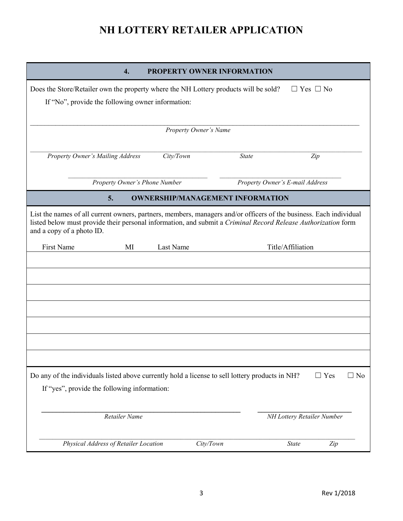| 4.                                                                                                                                                                                                                                                               | <b>PROPERTY OWNER INFORMATION</b>       |                                 |
|------------------------------------------------------------------------------------------------------------------------------------------------------------------------------------------------------------------------------------------------------------------|-----------------------------------------|---------------------------------|
| Does the Store/Retailer own the property where the NH Lottery products will be sold?<br>If "No", provide the following owner information:                                                                                                                        |                                         | $\Box$ Yes $\Box$ No            |
|                                                                                                                                                                                                                                                                  | Property Owner's Name                   |                                 |
| Property Owner's Mailing Address                                                                                                                                                                                                                                 | City/Town<br><b>State</b>               | Zip                             |
| Property Owner's Phone Number                                                                                                                                                                                                                                    |                                         | Property Owner's E-mail Address |
| 5.                                                                                                                                                                                                                                                               | <b>OWNERSHIP/MANAGEMENT INFORMATION</b> |                                 |
| List the names of all current owners, partners, members, managers and/or officers of the business. Each individual<br>listed below must provide their personal information, and submit a Criminal Record Release Authorization form<br>and a copy of a photo ID. |                                         |                                 |
| First Name<br>MI                                                                                                                                                                                                                                                 | Last Name                               | Title/Affiliation               |
|                                                                                                                                                                                                                                                                  |                                         |                                 |
|                                                                                                                                                                                                                                                                  |                                         |                                 |
| Do any of the individuals listed above currently hold a license to sell lottery products in NH?<br>If "yes", provide the following information:                                                                                                                  |                                         | $\Box$ Yes<br>$\Box$ No         |
| Retailer Name                                                                                                                                                                                                                                                    |                                         | NH Lottery Retailer Number      |
| Physical Address of Retailer Location                                                                                                                                                                                                                            | City/Town                               | <b>State</b><br>Zip             |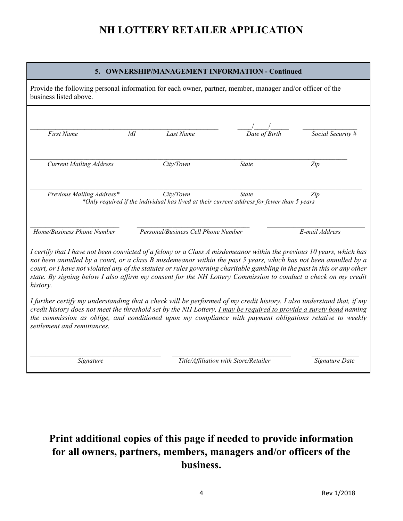#### **5. OWNERSHIP/MANAGEMENT INFORMATION - Continued**

Provide the following personal information for each owner, partner, member, manager and/or officer of the business listed above.

| <b>First Name</b>                                                                                                                                                                                                                                                                                                                                                                                                                                                                                    | MI | Last Name                           | Date of Birth                                                                                              | Social Security # |
|------------------------------------------------------------------------------------------------------------------------------------------------------------------------------------------------------------------------------------------------------------------------------------------------------------------------------------------------------------------------------------------------------------------------------------------------------------------------------------------------------|----|-------------------------------------|------------------------------------------------------------------------------------------------------------|-------------------|
| <b>Current Mailing Address</b>                                                                                                                                                                                                                                                                                                                                                                                                                                                                       |    | City/Town                           | <b>State</b>                                                                                               | Zip               |
| Previous Mailing Address*                                                                                                                                                                                                                                                                                                                                                                                                                                                                            |    | City/Town                           | <b>State</b><br>*Only required if the individual has lived at their current address for fewer than 5 years | Zip               |
| Home/Business Phone Number                                                                                                                                                                                                                                                                                                                                                                                                                                                                           |    | Personal/Business Cell Phone Number |                                                                                                            | E-mail Address    |
| I certify that I have not been convicted of a felony or a Class A misdemeanor within the previous 10 years, which has<br>not been annulled by a court, or a class B misdemeanor within the past 5 years, which has not been annulled by a<br>court, or I have not violated any of the statutes or rules governing charitable gambling in the past in this or any other<br>state. By signing below I also affirm my consent for the NH Lottery Commission to conduct a check on my credit<br>history. |    |                                     |                                                                                                            |                   |
| I further certify my understanding that a check will be performed of my credit history. I also understand that, if my<br>credit history does not meet the threshold set by the NH Lottery, <i>I may be required to provide a surety bond</i> naming<br>the commission as oblige, and conditioned upon my compliance with payment obligations relative to weekly<br>settlement and remittances.                                                                                                       |    |                                     |                                                                                                            |                   |
| Signature                                                                                                                                                                                                                                                                                                                                                                                                                                                                                            |    |                                     | Title/Affiliation with Store/Retailer                                                                      | Signature Date    |

## **Print additional copies of this page if needed to provide information for all owners, partners, members, managers and/or officers of the business.**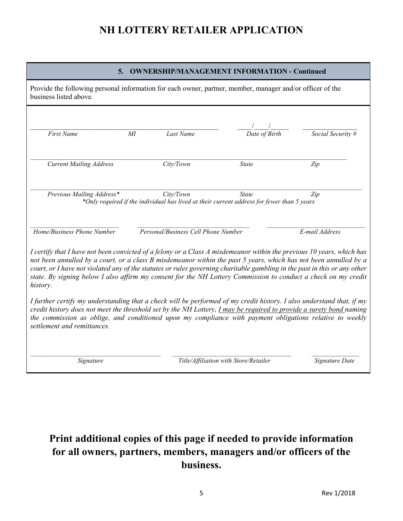| <b>OWNERSHIP/MANAGEMENT INFORMATION - Continued</b><br>5.                                                                                                                                                                                                                                                                                                                                                                                                                                            |                                       |                             |                   |  |  |  |
|------------------------------------------------------------------------------------------------------------------------------------------------------------------------------------------------------------------------------------------------------------------------------------------------------------------------------------------------------------------------------------------------------------------------------------------------------------------------------------------------------|---------------------------------------|-----------------------------|-------------------|--|--|--|
| Provide the following personal information for each owner, partner, member, manager and/or officer of the<br>business listed above.                                                                                                                                                                                                                                                                                                                                                                  |                                       |                             |                   |  |  |  |
| <b>First Name</b><br>МI                                                                                                                                                                                                                                                                                                                                                                                                                                                                              | Last Name                             | $\overline{Date\ of}$ Birth | Social Security # |  |  |  |
| <b>Current Mailing Address</b>                                                                                                                                                                                                                                                                                                                                                                                                                                                                       | City/Town                             | <b>State</b>                | Zip               |  |  |  |
| Previous Mailing Address*<br>City/Town<br><b>State</b><br>Zip<br>*Only required if the individual has lived at their current address for fewer than 5 years                                                                                                                                                                                                                                                                                                                                          |                                       |                             |                   |  |  |  |
| Home/Business Phone Number                                                                                                                                                                                                                                                                                                                                                                                                                                                                           | Personal/Business Cell Phone Number   |                             | E-mail Address    |  |  |  |
| I certify that I have not been convicted of a felony or a Class A misdemeanor within the previous 10 years, which has<br>not been annulled by a court, or a class B misdemeanor within the past 5 years, which has not been annulled by a<br>court, or I have not violated any of the statutes or rules governing charitable gambling in the past in this or any other<br>state. By signing below I also affirm my consent for the NH Lottery Commission to conduct a check on my credit<br>history. |                                       |                             |                   |  |  |  |
| I further certify my understanding that a check will be performed of my credit history. I also understand that, if my<br>credit history does not meet the threshold set by the NH Lottery, $\Gamma$ may be required to provide a surety bond naming<br>the commission as oblige, and conditioned upon my compliance with payment obligations relative to weekly<br>settlement and remittances.                                                                                                       |                                       |                             |                   |  |  |  |
| Signature                                                                                                                                                                                                                                                                                                                                                                                                                                                                                            | Title/Affiliation with Store/Retailer |                             | Signature Date    |  |  |  |

## **Print additional copies of this page if needed to provide information for all owners, partners, members, managers and/or officers of the business.**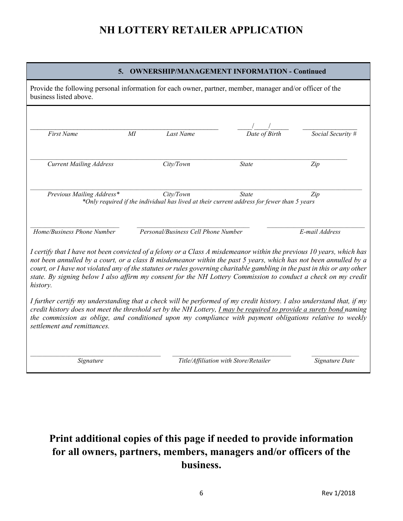| <b>OWNERSHIP/MANAGEMENT INFORMATION - Continued</b><br>5.                                                                                                                                                                                                                                                                                                                                                                                                                                            |                                                                                                           |                                                                                                            |                   |  |  |  |  |
|------------------------------------------------------------------------------------------------------------------------------------------------------------------------------------------------------------------------------------------------------------------------------------------------------------------------------------------------------------------------------------------------------------------------------------------------------------------------------------------------------|-----------------------------------------------------------------------------------------------------------|------------------------------------------------------------------------------------------------------------|-------------------|--|--|--|--|
| business listed above.                                                                                                                                                                                                                                                                                                                                                                                                                                                                               | Provide the following personal information for each owner, partner, member, manager and/or officer of the |                                                                                                            |                   |  |  |  |  |
| <b>First Name</b><br>$M\!I$                                                                                                                                                                                                                                                                                                                                                                                                                                                                          | Last Name                                                                                                 | $\overline{Date\ of}$ Birth                                                                                | Social Security # |  |  |  |  |
| <b>Current Mailing Address</b>                                                                                                                                                                                                                                                                                                                                                                                                                                                                       | City/Town                                                                                                 | State                                                                                                      | Zip               |  |  |  |  |
| Previous Mailing Address*                                                                                                                                                                                                                                                                                                                                                                                                                                                                            | City/Town                                                                                                 | <b>State</b><br>*Only required if the individual has lived at their current address for fewer than 5 years | Zip               |  |  |  |  |
| Home/Business Phone Number                                                                                                                                                                                                                                                                                                                                                                                                                                                                           | Personal/Business Cell Phone Number                                                                       |                                                                                                            | E-mail Address    |  |  |  |  |
| I certify that I have not been convicted of a felony or a Class A misdemeanor within the previous 10 years, which has<br>not been annulled by a court, or a class B misdemeanor within the past 5 years, which has not been annulled by a<br>court, or I have not violated any of the statutes or rules governing charitable gambling in the past in this or any other<br>state. By signing below I also affirm my consent for the NH Lottery Commission to conduct a check on my credit<br>history. |                                                                                                           |                                                                                                            |                   |  |  |  |  |
| I further certify my understanding that a check will be performed of my credit history. I also understand that, if my<br>credit history does not meet the threshold set by the NH Lottery, $\Gamma$ may be required to provide a surety bond naming<br>the commission as oblige, and conditioned upon my compliance with payment obligations relative to weekly<br>settlement and remittances.                                                                                                       |                                                                                                           |                                                                                                            |                   |  |  |  |  |
| Signature                                                                                                                                                                                                                                                                                                                                                                                                                                                                                            |                                                                                                           | Title/Affiliation with Store/Retailer                                                                      | Signature Date    |  |  |  |  |

## **Print additional copies of this page if needed to provide information for all owners, partners, members, managers and/or officers of the business.**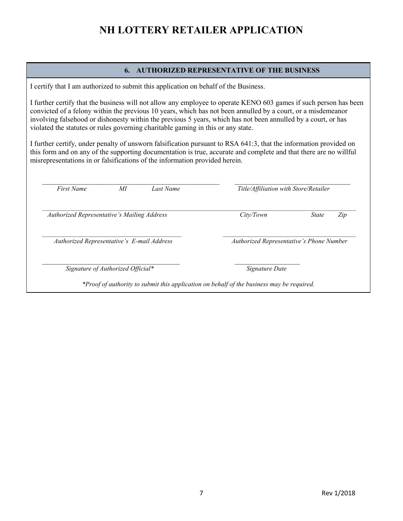#### **6. AUTHORIZED REPRESENTATIVE OF THE BUSINESS**

I certify that I am authorized to submit this application on behalf of the Business.

I further certify that the business will not allow any employee to operate KENO 603 games if such person has been convicted of a felony within the previous 10 years, which has not been annulled by a court, or a misdemeanor involving falsehood or dishonesty within the previous 5 years, which has not been annulled by a court, or has violated the statutes or rules governing charitable gaming in this or any state.

I further certify, under penalty of unsworn falsification pursuant to RSA 641:3, that the information provided on this form and on any of the supporting documentation is true, accurate and complete and that there are no willful misrepresentations in or falsifications of the information provided herein.

| <b>First Name</b>                           | МI                                | Last Name                                | Title/Affiliation with Store/Retailer |                     |  |
|---------------------------------------------|-----------------------------------|------------------------------------------|---------------------------------------|---------------------|--|
| Authorized Representative's Mailing Address |                                   |                                          | City/Town                             | <i>State</i><br>Zip |  |
| Authorized Representative's E-mail Address  |                                   | Authorized Representative's Phone Number |                                       |                     |  |
|                                             | Signature of Authorized Official* |                                          | Signature Date                        |                     |  |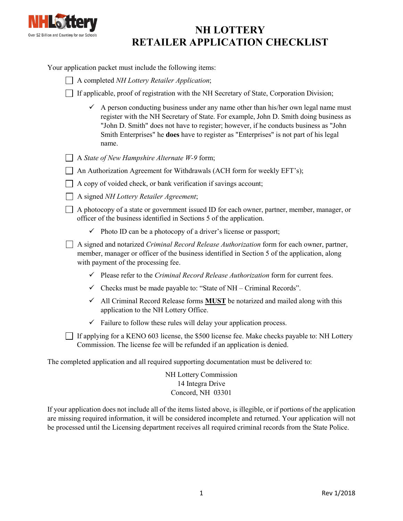

## **NH LOTTERY RETAILER APPLICATION CHECKLIST**

Your application packet must include the following items:

|  |  | A completed NH Lottery Retailer Application; |  |
|--|--|----------------------------------------------|--|
|--|--|----------------------------------------------|--|

If applicable, proof of registration with the NH Secretary of State, Corporation Division;

 $\checkmark$  A person conducting business under any name other than his/her own legal name must register with the NH Secretary of State. For example, John D. Smith doing business as "John D. Smith" does not have to register; however, if he conducts business as "John Smith Enterprises" he **does** have to register as "Enterprises" is not part of his legal name.

|  | $\Box$ A State of New Hampshire Alternate W-9 form; |  |
|--|-----------------------------------------------------|--|
|  |                                                     |  |

| $\Box$ An Authorization Agreement for Withdrawals (ACH form for weekly EFT's); |  |  |  |
|--------------------------------------------------------------------------------|--|--|--|
|                                                                                |  |  |  |

- A copy of voided check, or bank verification if savings account;
- A signed *NH Lottery Retailer Agreement*;

A photocopy of a state or government issued ID for each owner, partner, member, manager, or officer of the business identified in Sections 5 of the application.

 $\checkmark$  Photo ID can be a photocopy of a driver's license or passport;

A signed and notarized *Criminal Record Release Authorization* form for each owner, partner, member, manager or officer of the business identified in Section 5 of the application, along with payment of the processing fee.

- Please refer to the *Criminal Record Release Authorization* form for current fees.
- $\checkmark$  Checks must be made payable to: "State of NH Criminal Records".
- $\checkmark$  All Criminal Record Release forms **MUST** be notarized and mailed along with this application to the NH Lottery Office.
- $\checkmark$  Failure to follow these rules will delay your application process.

 $\Box$  If applying for a KENO 603 license, the \$500 license fee. Make checks payable to: NH Lottery Commission. The license fee will be refunded if an application is denied.

The completed application and all required supporting documentation must be delivered to:

NH Lottery Commission 14 Integra Drive Concord, NH 03301

If your application does not include all of the items listed above, is illegible, or if portions of the application are missing required information, it will be considered incomplete and returned. Your application will not be processed until the Licensing department receives all required criminal records from the State Police.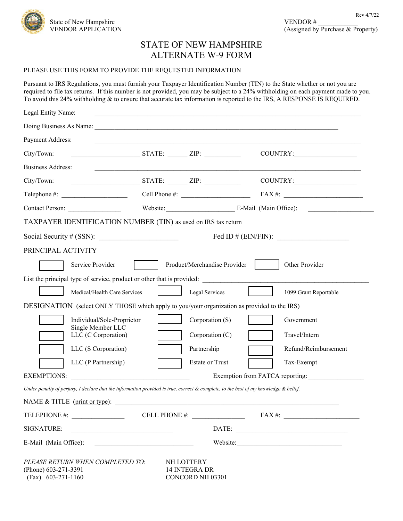

### STATE OF NEW HAMPSHIRE ALTERNATE W-9 FORM

#### PLEASE USE THIS FORM TO PROVIDE THE REQUESTED INFORMATION

Pursuant to IRS Regulations, you must furnish your Taxpayer Identification Number (TIN) to the State whether or not you are required to file tax returns. If this number is not provided, you may be subject to a 24% withholding on each payment made to you. To avoid this 24% withholding & to ensure that accurate tax information is reported to the IRS, A RESPONSE IS REQUIRED.

| Legal Entity Name:                                                                                                                                                                                                             |                                                                        |                                                 |                                                                                                                                                                                                                                |
|--------------------------------------------------------------------------------------------------------------------------------------------------------------------------------------------------------------------------------|------------------------------------------------------------------------|-------------------------------------------------|--------------------------------------------------------------------------------------------------------------------------------------------------------------------------------------------------------------------------------|
| Doing Business As Name: 1986. [19] Doing Business As Name: 1986. [19] Doing Business As Name: 1986. [19] Doing Business As Name: 1997. [19] Doing Business As Name: 1998. [19] Doing Business As Name: 1998. [19] Doing Busine |                                                                        |                                                 |                                                                                                                                                                                                                                |
| Payment Address:                                                                                                                                                                                                               |                                                                        |                                                 |                                                                                                                                                                                                                                |
| City/Town:                                                                                                                                                                                                                     | $STATE:$ $ZIP:$                                                        |                                                 | COUNTRY:                                                                                                                                                                                                                       |
| <b>Business Address:</b>                                                                                                                                                                                                       |                                                                        |                                                 |                                                                                                                                                                                                                                |
| City/Town:                                                                                                                                                                                                                     | $STATE:$ $ZIP:$                                                        |                                                 |                                                                                                                                                                                                                                |
|                                                                                                                                                                                                                                |                                                                        |                                                 | Telephone #: $\qquad \qquad \qquad \qquad \qquad \text{Cell Phone #:} \qquad \qquad \qquad \text{FAX #:} \qquad \qquad \qquad$                                                                                                 |
| Contact Person:                                                                                                                                                                                                                |                                                                        |                                                 | Website: E-Mail (Main Office):                                                                                                                                                                                                 |
| TAXPAYER IDENTIFICATION NUMBER (TIN) as used on IRS tax return                                                                                                                                                                 |                                                                        |                                                 |                                                                                                                                                                                                                                |
| Social Security # (SSN): $\frac{1}{2}$ (SSN) = 0.000 m                                                                                                                                                                         |                                                                        |                                                 | Fed ID # $(ENN/FIN):$                                                                                                                                                                                                          |
| PRINCIPAL ACTIVITY                                                                                                                                                                                                             |                                                                        |                                                 |                                                                                                                                                                                                                                |
| Service Provider                                                                                                                                                                                                               |                                                                        | Product/Merchandise Provider                    | Other Provider                                                                                                                                                                                                                 |
|                                                                                                                                                                                                                                |                                                                        |                                                 | List the principal type of service, product or other that is provided:                                                                                                                                                         |
|                                                                                                                                                                                                                                | Medical/Health Care Services                                           | Legal Services                                  | 1099 Grant Reportable                                                                                                                                                                                                          |
| DESIGNATION (select ONLY THOSE which apply to you/your organization as provided to the IRS)                                                                                                                                    |                                                                        |                                                 |                                                                                                                                                                                                                                |
|                                                                                                                                                                                                                                | Individual/Sole-Proprietor                                             | Corporation (S)                                 | Government                                                                                                                                                                                                                     |
| Single Member LLC<br>LLC (C Corporation)                                                                                                                                                                                       |                                                                        | Corporation (C)                                 | Travel/Intern                                                                                                                                                                                                                  |
| LLC (S Corporation)                                                                                                                                                                                                            |                                                                        | Partnership                                     | Refund/Reimbursement                                                                                                                                                                                                           |
| LLC (P Partnership)                                                                                                                                                                                                            |                                                                        | <b>Estate or Trust</b>                          | Tax-Exempt                                                                                                                                                                                                                     |
| <b>EXEMPTIONS:</b>                                                                                                                                                                                                             | <u> 1980 - Jan Barbara, martin da kasar Amerikaan kasar Indonesia.</u> |                                                 | Exemption from FATCA reporting:                                                                                                                                                                                                |
| Under penalty of perjury, I declare that the information provided is true, correct & complete, to the best of my knowledge & belief.                                                                                           |                                                                        |                                                 |                                                                                                                                                                                                                                |
| NAME & TITLE (print or type):                                                                                                                                                                                                  |                                                                        |                                                 |                                                                                                                                                                                                                                |
| TELEPHONE #: __________________                                                                                                                                                                                                |                                                                        |                                                 | CELL PHONE #: $\qquad \qquad$ FAX #: $\qquad \qquad$                                                                                                                                                                           |
| SIGNATURE:                                                                                                                                                                                                                     |                                                                        |                                                 |                                                                                                                                                                                                                                |
| E-Mail (Main Office):                                                                                                                                                                                                          | <u> 1990 - Johann Barbara, martin amerikan ba</u>                      |                                                 | Website: Version of the Community of the Community of the Community of the Community of the Community of the Community of the Community of the Community of the Community of the Community of the Community of the Community o |
| PLEASE RETURN WHEN COMPLETED TO:<br>(Phone) 603-271-3391<br>$(Fax)$ 603-271-1160                                                                                                                                               |                                                                        | NH LOTTERY<br>14 INTEGRA DR<br>CONCORD NH 03301 |                                                                                                                                                                                                                                |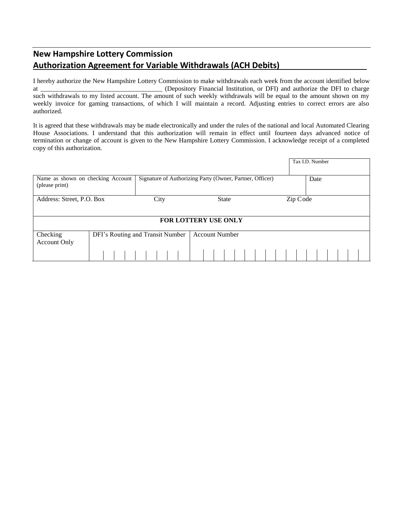### **New Hampshire Lottery Commission Authorization Agreement for Variable Withdrawals (ACH Debits)**\_\_\_\_\_\_\_\_\_\_\_\_\_\_\_\_\_\_\_

I hereby authorize the New Hampshire Lottery Commission to make withdrawals each week from the account identified below at \_\_\_\_\_\_\_\_\_\_\_\_\_\_\_\_\_\_\_\_\_\_\_\_\_\_\_\_\_\_\_\_\_\_\_\_\_ (Depository Financial Institution, or DFI) and authorize the DFI to charge such withdrawals to my listed account. The amount of such weekly withdrawals will be equal to the amount shown on my weekly invoice for gaming transactions, of which I will maintain a record. Adjusting entries to correct errors are also authorized.

It is agreed that these withdrawals may be made electronically and under the rules of the national and local Automated Clearing House Associations. I understand that this authorization will remain in effect until fourteen days advanced notice of termination or change of account is given to the New Hampshire Lottery Commission. I acknowledge receipt of a completed copy of this authorization.

|                                                     |                                  |                                                          |          | Tax I.D. Number |  |
|-----------------------------------------------------|----------------------------------|----------------------------------------------------------|----------|-----------------|--|
| Name as shown on checking Account<br>(please print) |                                  | Signature of Authorizing Party (Owner, Partner, Officer) |          | Date            |  |
| Address: Street, P.O. Box                           | City                             | <b>State</b>                                             | Zip Code |                 |  |
|                                                     |                                  | FOR LOTTERY USE ONLY                                     |          |                 |  |
| Checking<br><b>Account Only</b>                     | DFI's Routing and Transit Number | <b>Account Number</b>                                    |          |                 |  |
|                                                     |                                  |                                                          |          |                 |  |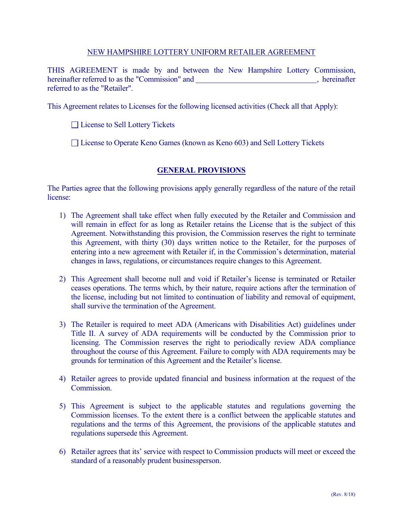#### NEW HAMPSHIRE LOTTERY UNIFORM RETAILER AGREEMENT

THIS AGREEMENT is made by and between the New Hampshire Lottery Commission, hereinafter referred to as the "Commission" and , hereinafter referred to as the "Retailer".

This Agreement relates to Licenses for the following licensed activities (Check all that Apply):

□ License to Sell Lottery Tickets

□ License to Operate Keno Games (known as Keno 603) and Sell Lottery Tickets

### **GENERAL PROVISIONS**

The Parties agree that the following provisions apply generally regardless of the nature of the retail license:

- 1) The Agreement shall take effect when fully executed by the Retailer and Commission and will remain in effect for as long as Retailer retains the License that is the subject of this Agreement. Notwithstanding this provision, the Commission reserves the right to terminate this Agreement, with thirty (30) days written notice to the Retailer, for the purposes of entering into a new agreement with Retailer if, in the Commission's determination, material changes in laws, regulations, or circumstances require changes to this Agreement.
- 2) This Agreement shall become null and void if Retailer's license is terminated or Retailer ceases operations. The terms which, by their nature, require actions after the termination of the license, including but not limited to continuation of liability and removal of equipment, shall survive the termination of the Agreement.
- 3) The Retailer is required to meet ADA (Americans with Disabilities Act) guidelines under Title II. A survey of ADA requirements will be conducted by the Commission prior to licensing. The Commission reserves the right to periodically review ADA compliance throughout the course of this Agreement. Failure to comply with ADA requirements may be grounds for termination of this Agreement and the Retailer's license.
- 4) Retailer agrees to provide updated financial and business information at the request of the Commission.
- 5) This Agreement is subject to the applicable statutes and regulations governing the Commission licenses. To the extent there is a conflict between the applicable statutes and regulations and the terms of this Agreement, the provisions of the applicable statutes and regulations supersede this Agreement.
- 6) Retailer agrees that its' service with respect to Commission products will meet or exceed the standard of a reasonably prudent businessperson.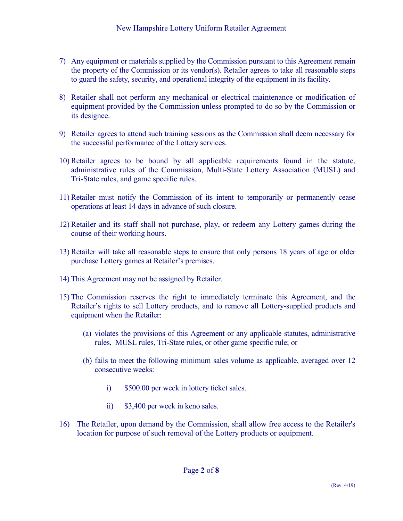- 7) Any equipment or materials supplied by the Commission pursuant to this Agreement remain the property of the Commission or its vendor(s). Retailer agrees to take all reasonable steps to guard the safety, security, and operational integrity of the equipment in its facility.
- 8) Retailer shall not perform any mechanical or electrical maintenance or modification of equipment provided by the Commission unless prompted to do so by the Commission or its designee.
- 9) Retailer agrees to attend such training sessions as the Commission shall deem necessary for the successful performance of the Lottery services.
- 10) Retailer agrees to be bound by all applicable requirements found in the statute, administrative rules of the Commission, Multi-State Lottery Association (MUSL) and Tri-State rules, and game specific rules.
- 11) Retailer must notify the Commission of its intent to temporarily or permanently cease operations at least 14 days in advance of such closure.
- 12) Retailer and its staff shall not purchase, play, or redeem any Lottery games during the course of their working hours.
- 13) Retailer will take all reasonable steps to ensure that only persons 18 years of age or older purchase Lottery games at Retailer's premises.
- 14) This Agreement may not be assigned by Retailer.
- 15) The Commission reserves the right to immediately terminate this Agreement, and the Retailer's rights to sell Lottery products, and to remove all Lottery-supplied products and equipment when the Retailer:
	- (a) violates the provisions of this Agreement or any applicable statutes, administrative rules, MUSL rules, Tri-State rules, or other game specific rule; or
	- (b) fails to meet the following minimum sales volume as applicable, averaged over 12 consecutive weeks:
		- i) \$500.00 per week in lottery ticket sales.
		- ii) \$3,400 per week in keno sales.
- 16) The Retailer, upon demand by the Commission, shall allow free access to the Retailer's location for purpose of such removal of the Lottery products or equipment.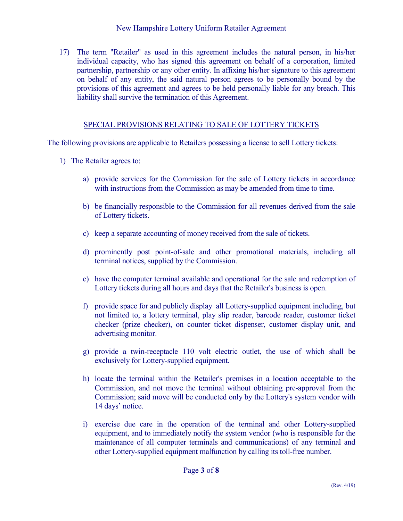### New Hampshire Lottery Uniform Retailer Agreement

17) The term "Retailer" as used in this agreement includes the natural person, in his/her individual capacity, who has signed this agreement on behalf of a corporation, limited partnership, partnership or any other entity. In affixing his/her signature to this agreement on behalf of any entity, the said natural person agrees to be personally bound by the provisions of this agreement and agrees to be held personally liable for any breach. This liability shall survive the termination of this Agreement.

### SPECIAL PROVISIONS RELATING TO SALE OF LOTTERY TICKETS

The following provisions are applicable to Retailers possessing a license to sell Lottery tickets:

- 1) The Retailer agrees to:
	- a) provide services for the Commission for the sale of Lottery tickets in accordance with instructions from the Commission as may be amended from time to time.
	- b) be financially responsible to the Commission for all revenues derived from the sale of Lottery tickets.
	- c) keep a separate accounting of money received from the sale of tickets.
	- d) prominently post point-of-sale and other promotional materials, including all terminal notices, supplied by the Commission.
	- e) have the computer terminal available and operational for the sale and redemption of Lottery tickets during all hours and days that the Retailer's business is open.
	- f) provide space for and publicly display all Lottery-supplied equipment including, but not limited to, a lottery terminal, play slip reader, barcode reader, customer ticket checker (prize checker), on counter ticket dispenser, customer display unit, and advertising monitor.
	- g) provide a twin-receptacle 110 volt electric outlet, the use of which shall be exclusively for Lottery-supplied equipment.
	- h) locate the terminal within the Retailer's premises in a location acceptable to the Commission, and not move the terminal without obtaining pre-approval from the Commission; said move will be conducted only by the Lottery's system vendor with 14 days' notice.
	- i) exercise due care in the operation of the terminal and other Lottery-supplied equipment, and to immediately notify the system vendor (who is responsible for the maintenance of all computer terminals and communications) of any terminal and other Lottery-supplied equipment malfunction by calling its toll-free number.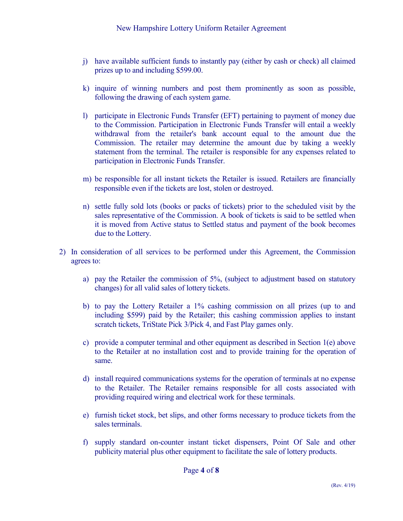- j) have available sufficient funds to instantly pay (either by cash or check) all claimed prizes up to and including \$599.00.
- k) inquire of winning numbers and post them prominently as soon as possible, following the drawing of each system game.
- l) participate in Electronic Funds Transfer (EFT) pertaining to payment of money due to the Commission. Participation in Electronic Funds Transfer will entail a weekly withdrawal from the retailer's bank account equal to the amount due the Commission. The retailer may determine the amount due by taking a weekly statement from the terminal. The retailer is responsible for any expenses related to participation in Electronic Funds Transfer.
- m) be responsible for all instant tickets the Retailer is issued. Retailers are financially responsible even if the tickets are lost, stolen or destroyed.
- n) settle fully sold lots (books or packs of tickets) prior to the scheduled visit by the sales representative of the Commission. A book of tickets is said to be settled when it is moved from Active status to Settled status and payment of the book becomes due to the Lottery.
- 2) In consideration of all services to be performed under this Agreement, the Commission agrees to:
	- a) pay the Retailer the commission of 5%, (subject to adjustment based on statutory changes) for all valid sales of lottery tickets.
	- b) to pay the Lottery Retailer a 1% cashing commission on all prizes (up to and including \$599) paid by the Retailer; this cashing commission applies to instant scratch tickets, TriState Pick 3/Pick 4, and Fast Play games only.
	- c) provide a computer terminal and other equipment as described in Section 1(e) above to the Retailer at no installation cost and to provide training for the operation of same.
	- d) install required communications systems for the operation of terminals at no expense to the Retailer. The Retailer remains responsible for all costs associated with providing required wiring and electrical work for these terminals.
	- e) furnish ticket stock, bet slips, and other forms necessary to produce tickets from the sales terminals.
	- f) supply standard on-counter instant ticket dispensers, Point Of Sale and other publicity material plus other equipment to facilitate the sale of lottery products.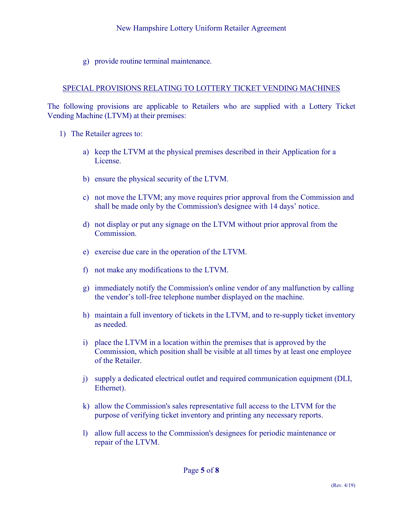g) provide routine terminal maintenance.

### SPECIAL PROVISIONS RELATING TO LOTTERY TICKET VENDING MACHINES

The following provisions are applicable to Retailers who are supplied with a Lottery Ticket Vending Machine (LTVM) at their premises:

- 1) The Retailer agrees to:
	- a) keep the LTVM at the physical premises described in their Application for a License.
	- b) ensure the physical security of the LTVM.
	- c) not move the LTVM; any move requires prior approval from the Commission and shall be made only by the Commission's designee with 14 days' notice.
	- d) not display or put any signage on the LTVM without prior approval from the Commission.
	- e) exercise due care in the operation of the LTVM.
	- f) not make any modifications to the LTVM.
	- g) immediately notify the Commission's online vendor of any malfunction by calling the vendor's toll-free telephone number displayed on the machine.
	- h) maintain a full inventory of tickets in the LTVM, and to re-supply ticket inventory as needed.
	- i) place the LTVM in a location within the premises that is approved by the Commission, which position shall be visible at all times by at least one employee of the Retailer.
	- j) supply a dedicated electrical outlet and required communication equipment (DLI, Ethernet).
	- k) allow the Commission's sales representative full access to the LTVM for the purpose of verifying ticket inventory and printing any necessary reports.
	- l) allow full access to the Commission's designees for periodic maintenance or repair of the LTVM.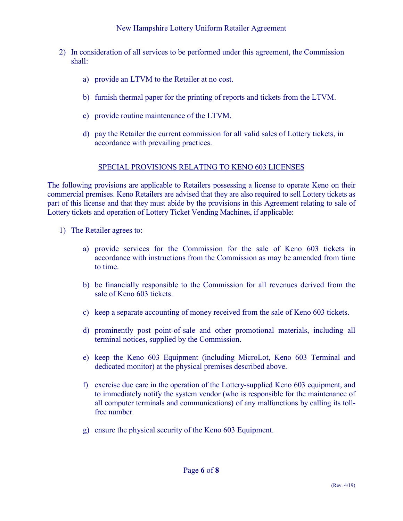- 2) In consideration of all services to be performed under this agreement, the Commission shall:
	- a) provide an LTVM to the Retailer at no cost.
	- b) furnish thermal paper for the printing of reports and tickets from the LTVM.
	- c) provide routine maintenance of the LTVM.
	- d) pay the Retailer the current commission for all valid sales of Lottery tickets, in accordance with prevailing practices.

### SPECIAL PROVISIONS RELATING TO KENO 603 LICENSES

The following provisions are applicable to Retailers possessing a license to operate Keno on their commercial premises. Keno Retailers are advised that they are also required to sell Lottery tickets as part of this license and that they must abide by the provisions in this Agreement relating to sale of Lottery tickets and operation of Lottery Ticket Vending Machines, if applicable:

- 1) The Retailer agrees to:
	- a) provide services for the Commission for the sale of Keno 603 tickets in accordance with instructions from the Commission as may be amended from time to time.
	- b) be financially responsible to the Commission for all revenues derived from the sale of Keno 603 tickets.
	- c) keep a separate accounting of money received from the sale of Keno 603 tickets.
	- d) prominently post point-of-sale and other promotional materials, including all terminal notices, supplied by the Commission.
	- e) keep the Keno 603 Equipment (including MicroLot, Keno 603 Terminal and dedicated monitor) at the physical premises described above.
	- f) exercise due care in the operation of the Lottery-supplied Keno 603 equipment, and to immediately notify the system vendor (who is responsible for the maintenance of all computer terminals and communications) of any malfunctions by calling its tollfree number.
	- g) ensure the physical security of the Keno 603 Equipment.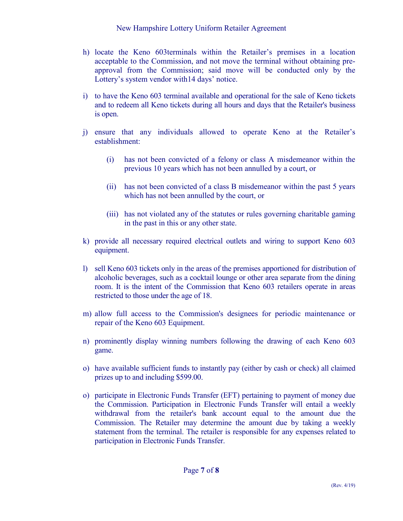- h) locate the Keno 603terminals within the Retailer's premises in a location acceptable to the Commission, and not move the terminal without obtaining preapproval from the Commission; said move will be conducted only by the Lottery's system vendor with14 days' notice.
- i) to have the Keno 603 terminal available and operational for the sale of Keno tickets and to redeem all Keno tickets during all hours and days that the Retailer's business is open.
- j) ensure that any individuals allowed to operate Keno at the Retailer's establishment:
	- (i) has not been convicted of a felony or class A misdemeanor within the previous 10 years which has not been annulled by a court, or
	- (ii) has not been convicted of a class B misdemeanor within the past 5 years which has not been annulled by the court, or
	- (iii) has not violated any of the statutes or rules governing charitable gaming in the past in this or any other state.
- k) provide all necessary required electrical outlets and wiring to support Keno 603 equipment.
- l) sell Keno 603 tickets only in the areas of the premises apportioned for distribution of alcoholic beverages, such as a cocktail lounge or other area separate from the dining room. It is the intent of the Commission that Keno 603 retailers operate in areas restricted to those under the age of 18.
- m) allow full access to the Commission's designees for periodic maintenance or repair of the Keno 603 Equipment.
- n) prominently display winning numbers following the drawing of each Keno 603 game.
- o) have available sufficient funds to instantly pay (either by cash or check) all claimed prizes up to and including \$599.00.
- o) participate in Electronic Funds Transfer (EFT) pertaining to payment of money due the Commission. Participation in Electronic Funds Transfer will entail a weekly withdrawal from the retailer's bank account equal to the amount due the Commission. The Retailer may determine the amount due by taking a weekly statement from the terminal. The retailer is responsible for any expenses related to participation in Electronic Funds Transfer.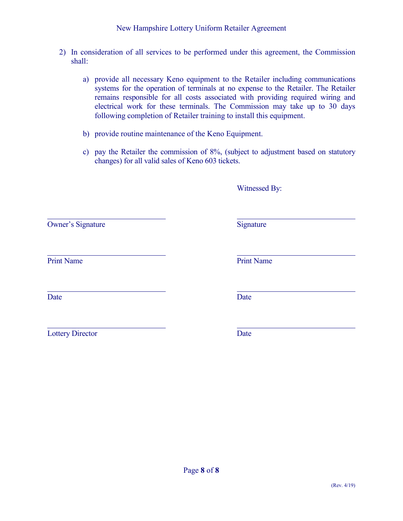- 2) In consideration of all services to be performed under this agreement, the Commission shall:
	- a) provide all necessary Keno equipment to the Retailer including communications systems for the operation of terminals at no expense to the Retailer. The Retailer remains responsible for all costs associated with providing required wiring and electrical work for these terminals. The Commission may take up to 30 days following completion of Retailer training to install this equipment.
	- b) provide routine maintenance of the Keno Equipment.
	- c) pay the Retailer the commission of 8%, (subject to adjustment based on statutory changes) for all valid sales of Keno 603 tickets.

|                          | Witnessed By:     |
|--------------------------|-------------------|
| <b>Owner's Signature</b> | Signature         |
| <b>Print Name</b>        | <b>Print Name</b> |
| Date                     | Date              |
| <b>Lottery Director</b>  | Date              |